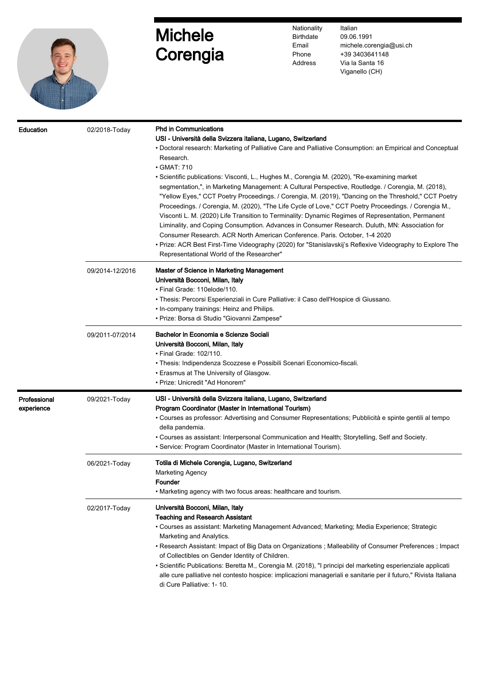

## Michele **Corengia**

Nationality **Birthdate** Email Phone Address

Italian 09.06.1991 michele.corengia@usi.ch +39 3403641148 Via la Santa 16 Viganello (CH)

| Education                  | 02/2018-Today   | <b>Phd in Communications</b><br>USI - Università della Svizzera italiana, Lugano, Switzerland<br>• Doctoral research: Marketing of Palliative Care and Palliative Consumption: an Empirical and Conceptual<br>Research.<br>$\cdot$ GMAT: 710<br>• Scientific publications: Visconti, L., Hughes M., Corengia M. (2020), "Re-examining market<br>segmentation,", in Marketing Management: A Cultural Perspective, Routledge. / Corengia, M. (2018),<br>"Yellow Eyes," CCT Poetry Proceedings. / Corengia, M. (2019), "Dancing on the Threshold," CCT Poetry<br>Proceedings. / Corengia, M. (2020), "The Life Cycle of Love," CCT Poetry Proceedings. / Corengia M.,<br>Visconti L. M. (2020) Life Transition to Terminality: Dynamic Regimes of Representation, Permanent<br>Liminality, and Coping Consumption. Advances in Consumer Research. Duluth, MN: Association for<br>Consumer Research. ACR North American Conference. Paris. October, 1-4 2020<br>• Prize: ACR Best First-Time Videography (2020) for "Stanislavskij's Reflexive Videography to Explore The<br>Representational World of the Researcher" |
|----------------------------|-----------------|--------------------------------------------------------------------------------------------------------------------------------------------------------------------------------------------------------------------------------------------------------------------------------------------------------------------------------------------------------------------------------------------------------------------------------------------------------------------------------------------------------------------------------------------------------------------------------------------------------------------------------------------------------------------------------------------------------------------------------------------------------------------------------------------------------------------------------------------------------------------------------------------------------------------------------------------------------------------------------------------------------------------------------------------------------------------------------------------------------------------|
|                            | 09/2014-12/2016 | Master of Science in Marketing Management<br>Università Bocconi, Milan, Italy<br>• Final Grade: 110elode/110.<br>• Thesis: Percorsi Esperienziali in Cure Palliative: il Caso dell'Hospice di Giussano.<br>. In-company trainings: Heinz and Philips.<br>• Prize: Borsa di Studio "Giovanni Zampese"                                                                                                                                                                                                                                                                                                                                                                                                                                                                                                                                                                                                                                                                                                                                                                                                               |
|                            | 09/2011-07/2014 | Bachelor in Economia e Scienze Sociali<br>Università Bocconi, Milan, Italy<br>• Final Grade: 102/110.<br>• Thesis: Indipendenza Scozzese e Possibili Scenari Economico-fiscali.<br>• Erasmus at The University of Glasgow.<br>• Prize: Unicredit "Ad Honorem"                                                                                                                                                                                                                                                                                                                                                                                                                                                                                                                                                                                                                                                                                                                                                                                                                                                      |
| Professional<br>experience | 09/2021-Today   | USI - Università della Svizzera italiana, Lugano, Switzerland<br>Program Coordinator (Master in International Tourism)<br>• Courses as professor: Advertising and Consumer Representations; Pubblicità e spinte gentili al tempo<br>della pandemia.<br>• Courses as assistant: Interpersonal Communication and Health; Storytelling, Self and Society.<br>• Service: Program Coordinator (Master in International Tourism).                                                                                                                                                                                                                                                                                                                                                                                                                                                                                                                                                                                                                                                                                        |
|                            | 06/2021-Today   | Totila di Michele Corengia, Lugano, Switzerland<br><b>Marketing Agency</b><br>Founder<br>. Marketing agency with two focus areas: healthcare and tourism.                                                                                                                                                                                                                                                                                                                                                                                                                                                                                                                                                                                                                                                                                                                                                                                                                                                                                                                                                          |
|                            | 02/2017-Today   | Università Bocconi, Milan, Italy<br><b>Teaching and Research Assistant</b><br>• Courses as assistant: Marketing Management Advanced; Marketing; Media Experience; Strategic<br>Marketing and Analytics.<br>• Research Assistant: Impact of Big Data on Organizations ; Malleability of Consumer Preferences ; Impact<br>of Collectibles on Gender Identity of Children.<br>• Scientific Publications: Beretta M., Corengia M. (2018), "I principi del marketing esperienziale applicati<br>alle cure palliative nel contesto hospice: implicazioni manageriali e sanitarie per il futuro," Rivista Italiana<br>di Cure Palliative: 1- 10.                                                                                                                                                                                                                                                                                                                                                                                                                                                                          |